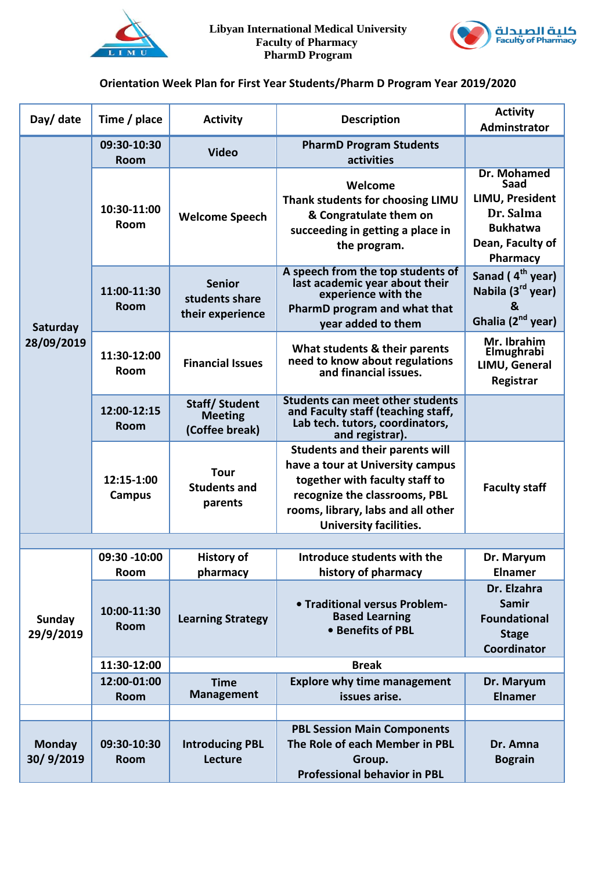



## **Orientation Week Plan for First Year Students/Pharm D Program Year 2019/2020**

| Day/ date                  | Time / place                | <b>Activity</b>                                          | <b>Description</b>                                                                                                                                                                                                   | <b>Activity</b><br>Adminstrator                                                                               |
|----------------------------|-----------------------------|----------------------------------------------------------|----------------------------------------------------------------------------------------------------------------------------------------------------------------------------------------------------------------------|---------------------------------------------------------------------------------------------------------------|
| Saturday<br>28/09/2019     | 09:30-10:30<br><b>Room</b>  | <b>Video</b>                                             | <b>PharmD Program Students</b><br>activities                                                                                                                                                                         |                                                                                                               |
|                            | 10:30-11:00<br>Room         | <b>Welcome Speech</b>                                    | Welcome<br>Thank students for choosing LIMU<br>& Congratulate them on<br>succeeding in getting a place in<br>the program.                                                                                            | <b>Dr. Mohamed</b><br>Saad<br>LIMU, President<br>Dr. Salma<br><b>Bukhatwa</b><br>Dean, Faculty of<br>Pharmacy |
|                            | 11:00-11:30<br><b>Room</b>  | <b>Senior</b><br>students share<br>their experience      | A speech from the top students of<br>last academic year about their<br>experience with the<br>PharmD program and what that<br>year added to them                                                                     | Sanad (4 <sup>th</sup> year)<br>Nabila (3 <sup>rd</sup> year)<br>&<br>Ghalia (2 <sup>nd</sup> year)           |
|                            | 11:30-12:00<br><b>Room</b>  | <b>Financial Issues</b>                                  | What students & their parents<br>need to know about regulations<br>and financial issues.                                                                                                                             | Mr. Ibrahim<br>Elmughrabi<br>LIMU, General<br>Registrar                                                       |
|                            | 12:00-12:15<br><b>Room</b>  | <b>Staff/Student</b><br><b>Meeting</b><br>(Coffee break) | <b>Students can meet other students</b><br>and Faculty staff (teaching staff,<br>Lab tech. tutors, coordinators,<br>and registrar).                                                                                  |                                                                                                               |
|                            | 12:15-1:00<br><b>Campus</b> | <b>Tour</b><br><b>Students and</b><br>parents            | <b>Students and their parents will</b><br>have a tour at University campus<br>together with faculty staff to<br>recognize the classrooms, PBL<br>rooms, library, labs and all other<br><b>University facilities.</b> | <b>Faculty staff</b>                                                                                          |
|                            |                             |                                                          |                                                                                                                                                                                                                      |                                                                                                               |
|                            | 09:30 -10:00                | <b>History of</b>                                        | Introduce students with the                                                                                                                                                                                          | Dr. Maryum                                                                                                    |
|                            | Room                        | pharmacy                                                 | history of pharmacy                                                                                                                                                                                                  | Elnamer                                                                                                       |
| <b>Sunday</b><br>29/9/2019 | 10:00-11:30<br><b>Room</b>  | <b>Learning Strategy</b>                                 | • Traditional versus Problem-<br><b>Based Learning</b><br>• Benefits of PBL                                                                                                                                          | Dr. Elzahra<br><b>Samir</b><br><b>Foundational</b><br><b>Stage</b><br>Coordinator                             |
|                            | 11:30-12:00                 |                                                          | <b>Break</b>                                                                                                                                                                                                         |                                                                                                               |
|                            | 12:00-01:00<br>Room         | <b>Time</b><br><b>Management</b>                         | <b>Explore why time management</b><br>issues arise.                                                                                                                                                                  | Dr. Maryum<br><b>Elnamer</b>                                                                                  |
|                            |                             |                                                          |                                                                                                                                                                                                                      |                                                                                                               |
| <b>Monday</b><br>30/9/2019 | 09:30-10:30<br><b>Room</b>  | <b>Introducing PBL</b><br>Lecture                        | <b>PBL Session Main Components</b><br>The Role of each Member in PBL<br>Group.<br><b>Professional behavior in PBL</b>                                                                                                | Dr. Amna<br><b>Bograin</b>                                                                                    |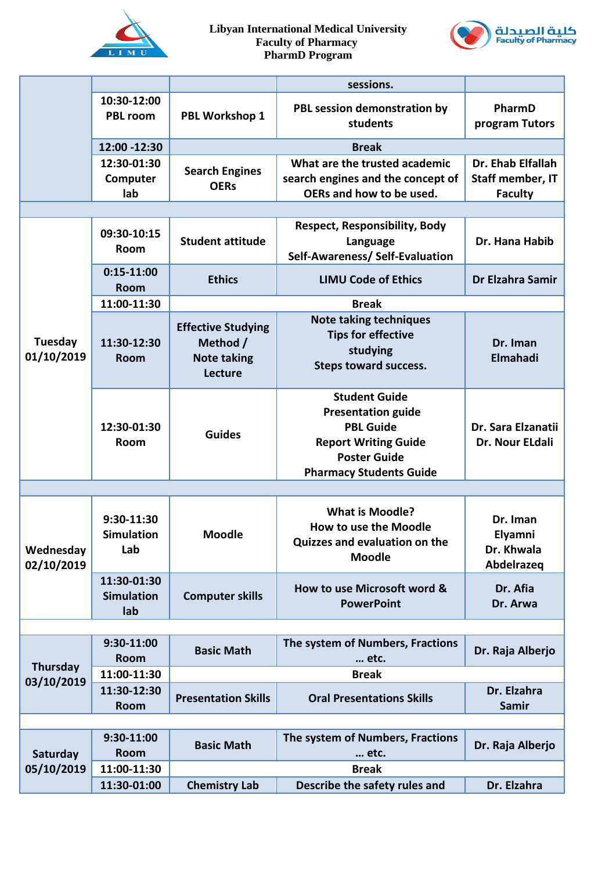



|                         |                                         |                                                                        | sessions.                                                                                                                                                     |                                                         |  |
|-------------------------|-----------------------------------------|------------------------------------------------------------------------|---------------------------------------------------------------------------------------------------------------------------------------------------------------|---------------------------------------------------------|--|
|                         | 10:30-12:00<br><b>PBL room</b>          | PBL Workshop 1                                                         | PBL session demonstration by<br>students                                                                                                                      | PharmD<br>program Tutors                                |  |
|                         | 12:00 -12:30                            |                                                                        | <b>Break</b>                                                                                                                                                  |                                                         |  |
|                         | 12:30-01:30<br>Computer<br>lab          | <b>Search Engines</b><br><b>OERs</b>                                   | What are the trusted academic<br>search engines and the concept of<br>OERs and how to be used.                                                                | Dr. Ehab Elfallah<br>Staff member, IT<br><b>Faculty</b> |  |
|                         |                                         |                                                                        |                                                                                                                                                               |                                                         |  |
|                         | 09:30-10:15<br><b>Room</b>              | <b>Student attitude</b>                                                | <b>Respect, Responsibility, Body</b><br>Language<br>Self-Awareness/ Self-Evaluation                                                                           | Dr. Hana Habib                                          |  |
|                         | $0:15-11:00$<br><b>Room</b>             | <b>Ethics</b>                                                          | <b>LIMU Code of Ethics</b>                                                                                                                                    | Dr Elzahra Samir                                        |  |
|                         | 11:00-11:30                             | <b>Break</b>                                                           |                                                                                                                                                               |                                                         |  |
| Tuesday<br>01/10/2019   | 11:30-12:30<br><b>Room</b>              | <b>Effective Studying</b><br>Method /<br><b>Note taking</b><br>Lecture | <b>Note taking techniques</b><br><b>Tips for effective</b><br>studying<br><b>Steps toward success.</b>                                                        | Dr. Iman<br>Elmahadi                                    |  |
|                         | 12:30-01:30<br>Room                     | <b>Guides</b>                                                          | <b>Student Guide</b><br><b>Presentation guide</b><br><b>PBL Guide</b><br><b>Report Writing Guide</b><br><b>Poster Guide</b><br><b>Pharmacy Students Guide</b> | Dr. Sara Elzanatii<br>Dr. Nour ELdali                   |  |
|                         |                                         |                                                                        |                                                                                                                                                               |                                                         |  |
| Wednesday<br>02/10/2019 | 9:30-11:30<br><b>Simulation</b><br>Lab  | <b>Moodle</b>                                                          | <b>What is Moodle?</b><br>How to use the Moodle<br>Quizzes and evaluation on the<br><b>Moodle</b>                                                             | Dr. Iman<br>Elyamni<br>Dr. Khwala<br>Abdelrazeq         |  |
|                         | 11:30-01:30<br><b>Simulation</b><br>lab | <b>Computer skills</b>                                                 | How to use Microsoft word &<br><b>PowerPoint</b>                                                                                                              | Dr. Afia<br>Dr. Arwa                                    |  |
|                         |                                         |                                                                        |                                                                                                                                                               |                                                         |  |
| Thursday<br>03/10/2019  | 9:30-11:00<br><b>Room</b>               | <b>Basic Math</b>                                                      | The system of Numbers, Fractions<br>etc.                                                                                                                      | Dr. Raja Alberjo                                        |  |
|                         | 11:00-11:30                             |                                                                        | <b>Break</b>                                                                                                                                                  |                                                         |  |
|                         | 11:30-12:30<br><b>Room</b>              | <b>Presentation Skills</b>                                             | <b>Oral Presentations Skills</b>                                                                                                                              | Dr. Elzahra<br><b>Samir</b>                             |  |
|                         |                                         |                                                                        |                                                                                                                                                               |                                                         |  |
| Saturday<br>05/10/2019  | 9:30-11:00<br><b>Room</b>               | <b>Basic Math</b>                                                      | The system of Numbers, Fractions<br>etc.                                                                                                                      | Dr. Raja Alberjo                                        |  |
|                         | 11:00-11:30                             | <b>Break</b>                                                           |                                                                                                                                                               |                                                         |  |
|                         | 11:30-01:00                             | <b>Chemistry Lab</b>                                                   | Describe the safety rules and                                                                                                                                 | Dr. Elzahra                                             |  |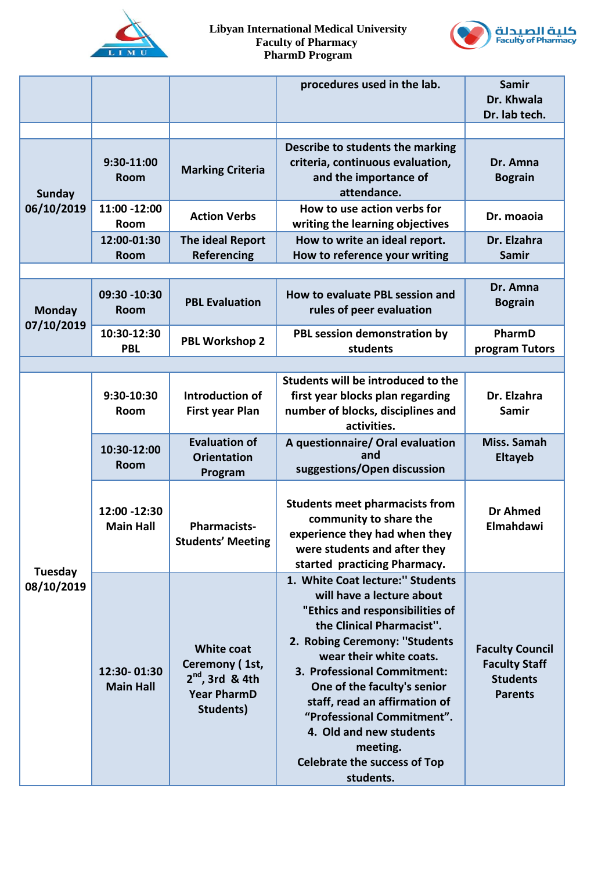



|                              |                                  |                                                                                             | procedures used in the lab.                                                                                                                                                                                                                                                                                                                                                                                       | Samir<br>Dr. Khwala<br>Dr. lab tech.                                                |
|------------------------------|----------------------------------|---------------------------------------------------------------------------------------------|-------------------------------------------------------------------------------------------------------------------------------------------------------------------------------------------------------------------------------------------------------------------------------------------------------------------------------------------------------------------------------------------------------------------|-------------------------------------------------------------------------------------|
| <b>Sunday</b><br>06/10/2019  | 9:30-11:00<br><b>Room</b>        | <b>Marking Criteria</b>                                                                     | Describe to students the marking<br>criteria, continuous evaluation,<br>and the importance of<br>attendance.                                                                                                                                                                                                                                                                                                      | Dr. Amna<br><b>Bograin</b>                                                          |
|                              | 11:00 -12:00<br>Room             | <b>Action Verbs</b>                                                                         | How to use action verbs for<br>writing the learning objectives                                                                                                                                                                                                                                                                                                                                                    | Dr. moaoia                                                                          |
|                              | 12:00-01:30<br><b>Room</b>       | The ideal Report<br>Referencing                                                             | How to write an ideal report.<br>How to reference your writing                                                                                                                                                                                                                                                                                                                                                    | Dr. Elzahra<br><b>Samir</b>                                                         |
|                              |                                  |                                                                                             |                                                                                                                                                                                                                                                                                                                                                                                                                   |                                                                                     |
| <b>Monday</b><br>07/10/2019  | 09:30 -10:30<br>Room             | <b>PBL Evaluation</b>                                                                       | How to evaluate PBL session and<br>rules of peer evaluation                                                                                                                                                                                                                                                                                                                                                       | Dr. Amna<br><b>Bograin</b>                                                          |
|                              | 10:30-12:30<br><b>PBL</b>        | <b>PBL Workshop 2</b>                                                                       | PBL session demonstration by<br>students                                                                                                                                                                                                                                                                                                                                                                          | PharmD<br>program Tutors                                                            |
|                              |                                  |                                                                                             |                                                                                                                                                                                                                                                                                                                                                                                                                   |                                                                                     |
| <b>Tuesday</b><br>08/10/2019 | 9:30-10:30<br><b>Room</b>        | Introduction of<br><b>First year Plan</b>                                                   | Students will be introduced to the<br>first year blocks plan regarding<br>number of blocks, disciplines and<br>activities.                                                                                                                                                                                                                                                                                        | Dr. Elzahra<br><b>Samir</b>                                                         |
|                              | 10:30-12:00<br>Room              | <b>Evaluation of</b><br><b>Orientation</b><br>Program                                       | A questionnaire/ Oral evaluation<br>and<br>suggestions/Open discussion                                                                                                                                                                                                                                                                                                                                            | Miss. Samah<br><b>Eltayeb</b>                                                       |
|                              | 12:00 -12:30<br><b>Main Hall</b> | <b>Pharmacists-</b><br><b>Students' Meeting</b>                                             | <b>Students meet pharmacists from</b><br>community to share the<br>experience they had when they<br>were students and after they<br>started practicing Pharmacy.                                                                                                                                                                                                                                                  | <b>Dr Ahmed</b><br>Elmahdawi                                                        |
|                              | 12:30-01:30<br><b>Main Hall</b>  | <b>White coat</b><br>Ceremony (1st,<br>$2nd$ , 3rd & 4th<br><b>Year PharmD</b><br>Students) | 1. White Coat lecture:" Students<br>will have a lecture about<br>"Ethics and responsibilities of<br>the Clinical Pharmacist".<br>2. Robing Ceremony: "Students<br>wear their white coats.<br>3. Professional Commitment:<br>One of the faculty's senior<br>staff, read an affirmation of<br>"Professional Commitment".<br>4. Old and new students<br>meeting.<br><b>Celebrate the success of Top</b><br>students. | <b>Faculty Council</b><br><b>Faculty Staff</b><br><b>Students</b><br><b>Parents</b> |